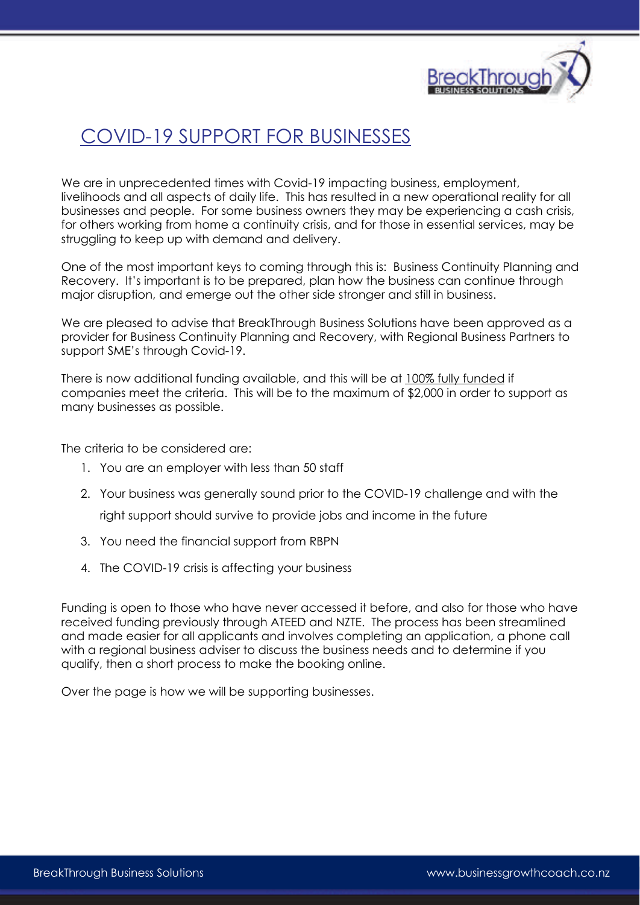

# COVID-19 SUPPORT FOR BUSINESSES

We are in unprecedented times with Covid-19 impacting business, employment, livelihoods and all aspects of daily life. This has resulted in a new operational reality for all businesses and people. For some business owners they may be experiencing a cash crisis, for others working from home a continuity crisis, and for those in essential services, may be struggling to keep up with demand and delivery.

One of the most important keys to coming through this is: Business Continuity Planning and Recovery. It's important is to be prepared, plan how the business can continue through major disruption, and emerge out the other side stronger and still in business.

We are pleased to advise that BreakThrough Business Solutions have been approved as a provider for Business Continuity Planning and Recovery, with Regional Business Partners to support SME's through Covid-19.

There is now additional funding available, and this will be at 100% fully funded if companies meet the criteria. This will be to the maximum of \$2,000 in order to support as many businesses as possible.

The criteria to be considered are:

- 1. You are an employer with less than 50 staff
- 2. Your business was generally sound prior to the COVID-19 challenge and with the right support should survive to provide jobs and income in the future
- 3. You need the financial support from RBPN
- 4. The COVID-19 crisis is affecting your business

Funding is open to those who have never accessed it before, and also for those who have received funding previously through ATEED and NZTE. The process has been streamlined and made easier for all applicants and involves completing an application, a phone call with a regional business adviser to discuss the business needs and to determine if you qualify, then a short process to make the booking online.

Over the page is how we will be supporting businesses.